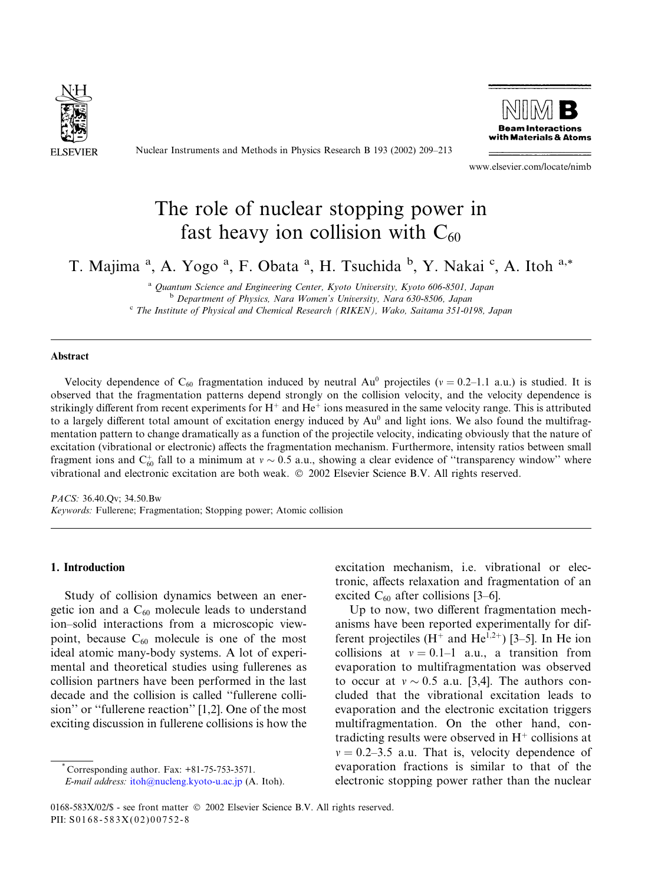

Nuclear Instruments and Methods in Physics Research B 193 (2002) 209–213



www.elsevier.com/locate/nimb

# The role of nuclear stopping power in fast heavy ion collision with  $C_{60}$

T. Majima<sup>a</sup>, A. Yogo<sup>a</sup>, F. Obata<sup>a</sup>, H. Tsuchida<sup>b</sup>, Y. Nakai<sup>c</sup>, A. Itoh<sup>a,\*</sup>

<sup>a</sup> Quantum Science and Engineering Center, Kyoto University, Kyoto 606-8501, Japan <sup>b</sup> Department of Physics, Nara Women's University, Nara 630-8506, Japan

 $c$  The Institute of Physical and Chemical Research (RIKEN), Wako, Saitama 351-0198, Japan

### Abstract

Velocity dependence of C<sub>60</sub> fragmentation induced by neutral Au<sup>0</sup> projectiles ( $v = 0.2-1.1$  a.u.) is studied. It is observed that the fragmentation patterns depend strongly on the collision velocity, and the velocity dependence is strikingly different from recent experiments for  $H^+$  and  $He^+$  ions measured in the same velocity range. This is attributed to a largely different total amount of excitation energy induced by  $Au<sup>0</sup>$  and light ions. We also found the multifragmentation pattern to change dramatically as a function of the projectile velocity, indicating obviously that the nature of excitation (vibrational or electronic) affects the fragmentation mechanism. Furthermore, intensity ratios between small fragment ions and  $C_{60}^+$  fall to a minimum at  $v \sim 0.5$  a.u., showing a clear evidence of "transparency window" where vibrational and electronic excitation are both weak. 2002 Elsevier Science B.V. All rights reserved.

PACS: 36.40.Qv; 34.50.Bw Keywords: Fullerene; Fragmentation; Stopping power; Atomic collision

## 1. Introduction

Study of collision dynamics between an energetic ion and a  $C_{60}$  molecule leads to understand ion–solid interactions from a microscopic viewpoint, because  $C_{60}$  molecule is one of the most ideal atomic many-body systems. A lot of experimental and theoretical studies using fullerenes as collision partners have been performed in the last decade and the collision is called ''fullerene collision'' or ''fullerene reaction'' [1,2]. One of the most exciting discussion in fullerene collisions is how the

excitation mechanism, i.e. vibrational or electronic, affects relaxation and fragmentation of an excited  $C_{60}$  after collisions [3–6].

Up to now, two different fragmentation mechanisms have been reported experimentally for different projectiles (H<sup>+</sup> and He<sup>1,2+</sup>) [3–5]. In He ion collisions at  $v = 0.1-1$  a.u., a transition from evaporation to multifragmentation was observed to occur at  $v \sim 0.5$  a.u. [3,4]. The authors concluded that the vibrational excitation leads to evaporation and the electronic excitation triggers multifragmentation. On the other hand, contradicting results were observed in  $H^+$  collisions at  $v = 0.2-3.5$  a.u. That is, velocity dependence of evaporation fractions is similar to that of the electronic stopping power rather than the nuclear

Corresponding author. Fax: +81-75-753-3571.

E-mail address: [itoh@nucleng.kyoto-u.ac.jp](mail to: itoh@nucleng.kyoto-u.ac.jp) (A. Itoh).

<sup>0168-583</sup>X/02/\$ - see front matter  $\odot$  2002 Elsevier Science B.V. All rights reserved. PII: S0168-583X(02)00752-8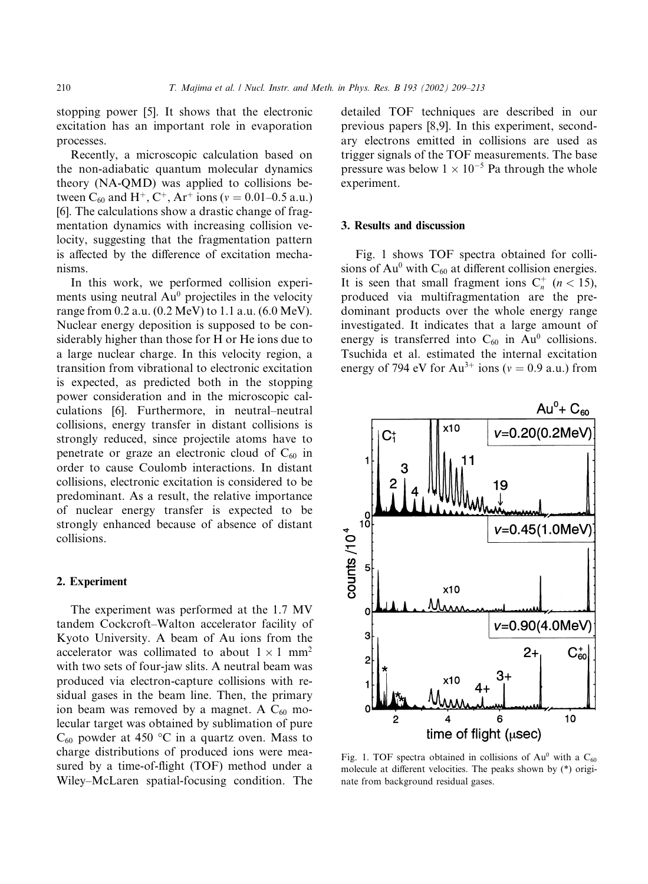stopping power [5]. It shows that the electronic excitation has an important role in evaporation processes.

Recently, a microscopic calculation based on the non-adiabatic quantum molecular dynamics theory (NA-QMD) was applied to collisions between C<sub>60</sub> and H<sup>+</sup>, C<sup>+</sup>, Ar<sup>+</sup> ions ( $v = 0.01 - 0.5$  a.u.) [6]. The calculations show a drastic change of fragmentation dynamics with increasing collision velocity, suggesting that the fragmentation pattern is affected by the difference of excitation mechanisms.

In this work, we performed collision experiments using neutral  $Au^0$  projectiles in the velocity range from 0.2 a.u. (0.2 MeV) to 1.1 a.u. (6.0 MeV). Nuclear energy deposition is supposed to be considerably higher than those for H or He ions due to a large nuclear charge. In this velocity region, a transition from vibrational to electronic excitation is expected, as predicted both in the stopping power consideration and in the microscopic calculations [6]. Furthermore, in neutral–neutral collisions, energy transfer in distant collisions is strongly reduced, since projectile atoms have to penetrate or graze an electronic cloud of  $C_{60}$  in order to cause Coulombinteractions. In distant collisions, electronic excitation is considered to be predominant. As a result, the relative importance of nuclear energy transfer is expected to be strongly enhanced because of absence of distant collisions.

# 2. Experiment

The experiment was performed at the 1.7 MV tandem Cockcroft–Walton accelerator facility of Kyoto University. A beam of Au ions from the accelerator was collimated to about  $1 \times 1$  mm<sup>2</sup> with two sets of four-jaw slits. A neutral beam was produced via electron-capture collisions with residual gases in the beam line. Then, the primary ion beam was removed by a magnet. A  $C_{60}$  molecular target was obtained by sublimation of pure  $C_{60}$  powder at 450 °C in a quartz oven. Mass to charge distributions of produced ions were measured by a time-of-flight (TOF) method under a Wiley–McLaren spatial-focusing condition. The detailed TOF techniques are described in our previous papers [8,9]. In this experiment, secondary electrons emitted in collisions are used as trigger signals of the TOF measurements. The base pressure was below  $1 \times 10^{-5}$  Pa through the whole experiment.

#### 3. Results and discussion

Fig. 1 shows TOF spectra obtained for collisions of  $Au^0$  with  $C_{60}$  at different collision energies. It is seen that small fragment ions  $C_n^+$  ( $n < 15$ ), produced via multifragmentation are the predominant products over the whole energy range investigated. It indicates that a large amount of energy is transferred into  $C_{60}$  in Au<sup>0</sup> collisions. Tsuchida et al. estimated the internal excitation energy of 794 eV for  $Au^{3+}$  ions ( $v = 0.9$  a.u.) from



Fig. 1. TOF spectra obtained in collisions of  $Au^0$  with a  $C_{60}$ molecule at different velocities. The peaks shown by (\*) originate from background residual gases.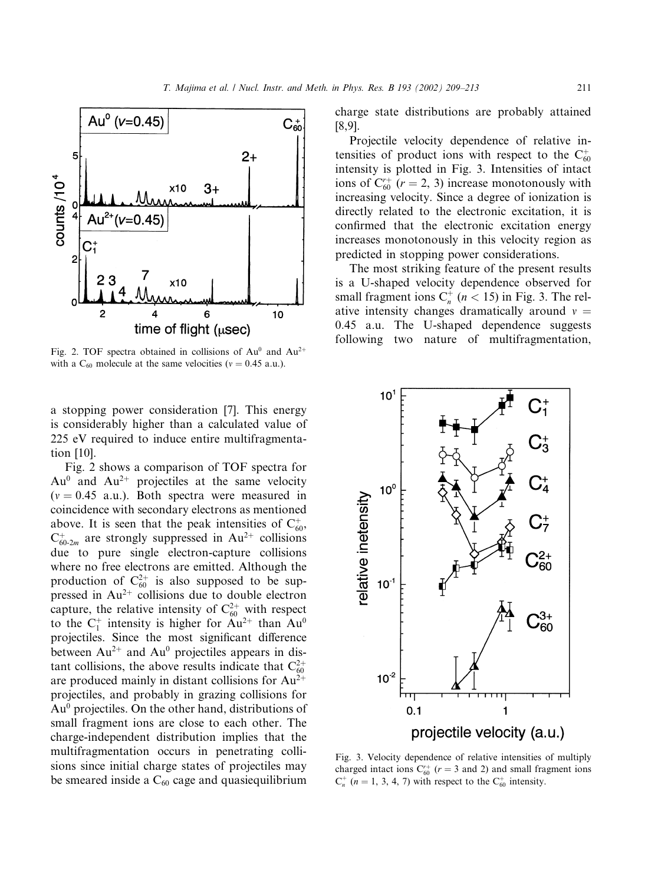

Fig. 2. TOF spectra obtained in collisions of  $Au^0$  and  $Au^{2+}$ with a  $C_{60}$  molecule at the same velocities ( $v = 0.45$  a.u.).

a stopping power consideration [7]. This energy is considerably higher than a calculated value of 225 eV required to induce entire multifragmentation [10].

Fig. 2 shows a comparison of TOF spectra for  $Au^0$  and  $Au^{2+}$  projectiles at the same velocity  $(v = 0.45$  a.u.). Both spectra were measured in coincidence with secondary electrons as mentioned above. It is seen that the peak intensities of  $C_{60}^+$ ,  $C_{60-2m}^+$  are strongly suppressed in Au<sup>2+</sup> collisions due to pure single electron-capture collisions where no free electrons are emitted. Although the production of  $C_{60}^{2+}$  is also supposed to be suppressed in  $Au^{2+}$  collisions due to double electron capture, the relative intensity of  $C_{60}^{2+}$  with respect to the  $C_1^+$  intensity is higher for  $Au^{2+}$  than  $Au^0$ projectiles. Since the most significant difference between  $Au^{2+}$  and  $Au^{0}$  projectiles appears in distant collisions, the above results indicate that  $C_{60}^{2+}$ are produced mainly in distant collisions for  $Au^{2+}$ projectiles, and probably in grazing collisions for Au0 projectiles. On the other hand, distributions of small fragment ions are close to each other. The charge-independent distribution implies that the multifragmentation occurs in penetrating collisions since initial charge states of projectiles may be smeared inside a  $C_{60}$  cage and quasiequilibrium

charge state distributions are probably attained [8,9].

Projectile velocity dependence of relative intensities of product ions with respect to the  $C_{60}^+$ intensity is plotted in Fig. 3. Intensities of intact ions of  $C_{60}^{r+}$  ( $r = 2, 3$ ) increase monotonously with increasing velocity. Since a degree of ionization is directly related to the electronic excitation, it is confirmed that the electronic excitation energy increases monotonously in this velocity region as predicted in stopping power considerations.

The most striking feature of the present results is a U-shaped velocity dependence observed for small fragment ions  $C_n^+$  ( $n < 15$ ) in Fig. 3. The relative intensity changes dramatically around  $v =$ 0:45 a.u. The U-shaped dependence suggests following two nature of multifragmentation,



Fig. 3. Velocity dependence of relative intensities of multiply charged intact ions  $C_{60}^{r+}$  ( $r = 3$  and 2) and small fragment ions  $C_n^+$  (*n* = 1, 3, 4, 7) with respect to the  $C_{60}^+$  intensity.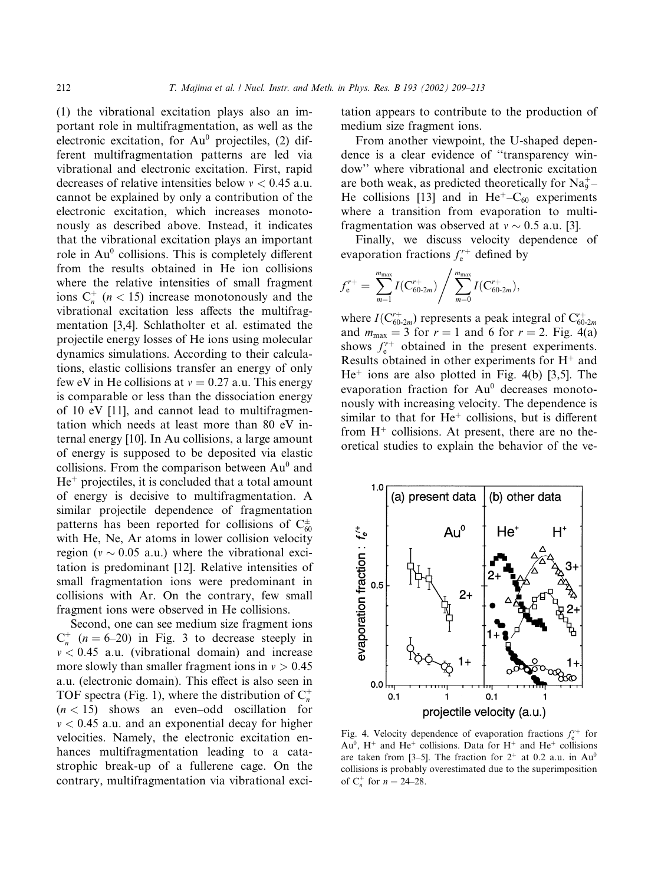(1) the vibrational excitation plays also an important role in multifragmentation, as well as the electronic excitation, for  $Au^0$  projectiles, (2) different multifragmentation patterns are led via vibrational and electronic excitation. First, rapid decreases of relative intensities below  $v < 0.45$  a.u. cannot be explained by only a contribution of the electronic excitation, which increases monotonously as described above. Instead, it indicates that the vibrational excitation plays an important role in  $Au^0$  collisions. This is completely different from the results obtained in He ion collisions where the relative intensities of small fragment ions  $C_n^+$  ( $n < 15$ ) increase monotonously and the vibrational excitation less affects the multifragmentation [3,4]. Schlatholter et al. estimated the projectile energy losses of He ions using molecular dynamics simulations. According to their calculations, elastic collisions transfer an energy of only few eV in He collisions at  $v = 0.27$  a.u. This energy is comparable or less than the dissociation energy of 10 eV [11], and cannot lead to multifragmentation which needs at least more than 80 eV internal energy [10]. In Au collisions, a large amount of energy is supposed to be deposited via elastic collisions. From the comparison between  $Au^0$  and  $He<sup>+</sup>$  projectiles, it is concluded that a total amount of energy is decisive to multifragmentation. A similar projectile dependence of fragmentation patterns has been reported for collisions of  $C_{60}^{\pm}$ with He, Ne, Ar atoms in lower collision velocity region ( $v \sim 0.05$  a.u.) where the vibrational excitation is predominant [12]. Relative intensities of small fragmentation ions were predominant in collisions with Ar. On the contrary, few small fragment ions were observed in He collisions.

Second, one can see medium size fragment ions  $C_n^+$  (*n* = 6–20) in Fig. 3 to decrease steeply in  $v < 0.45$  a.u. (vibrational domain) and increase more slowly than smaller fragment ions in  $v > 0.45$ a.u. (electronic domain). This effect is also seen in TOF spectra (Fig. 1), where the distribution of  $C_n^+$  $(n < 15)$  shows an even–odd oscillation for  $v < 0.45$  a.u. and an exponential decay for higher velocities. Namely, the electronic excitation enhances multifragmentation leading to a catastrophic break-up of a fullerene cage. On the contrary, multifragmentation via vibrational excitation appears to contribute to the production of medium size fragment ions.

From another viewpoint, the U-shaped dependence is a clear evidence of ''transparency window'' where vibrational and electronic excitation are both weak, as predicted theoretically for  $Na_9^+$ He collisions [13] and in He<sup> $+$ </sup>– $C_{60}$  experiments where a transition from evaporation to multifragmentation was observed at  $v \sim 0.5$  a.u. [3].

Finally, we discuss velocity dependence of evaporation fractions  $f_e^{r+}$  defined by

$$
f_{\rm e}^{r+} = \sum_{m=1}^{m_{\rm max}} I(C_{60\text{-}2m}^{r+}) / \sum_{m=0}^{m_{\rm max}} I(C_{60\text{-}2m}^{r+}),
$$

where  $I(\mathbf{C}_{60\text{-}2m}^{r+})$  represents a peak integral of  $\mathbf{C}_{60\text{-}2m}^{r+}$ and  $m_{\text{max}} = 3$  for  $r = 1$  and 6 for  $r = 2$ . Fig. 4(a) shows  $f_{e}^{r+}$  obtained in the present experiments. Results obtained in other experiments for  $H^+$  and  $He<sup>+</sup>$  ions are also plotted in Fig. 4(b) [3,5]. The evaporation fraction for Au<sup>0</sup> decreases monotonously with increasing velocity. The dependence is similar to that for  $He^+$  collisions, but is different from  $H^+$  collisions. At present, there are no theoretical studies to explain the behavior of the ve-



Fig. 4. Velocity dependence of evaporation fractions  $f_{e}^{r+}$  for  $Au^0$ , H<sup>+</sup> and He<sup>+</sup> collisions. Data for H<sup>+</sup> and He<sup>+</sup> collisions are taken from [3–5]. The fraction for  $2^+$  at 0.2 a.u. in Au<sup>0</sup> collisions is probably overestimated due to the superimposition of  $C_n^+$  for  $n = 24-28$ .